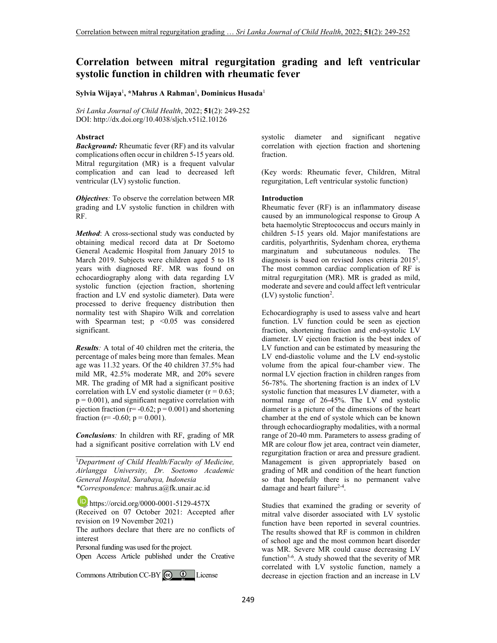# **Correlation between mitral regurgitation grading and left ventricular systolic function in children with rheumatic fever**

# **Sylvia Wijaya**<sup>1</sup> **, \*Mahrus A Rahman**<sup>1</sup> **, Dominicus Husada**<sup>1</sup>

*Sri Lanka Journal of Child Health*, 2022; **51**(2): 249-252 DOI: http://dx.doi.org/10.4038/sljch.v51i2.10126

## **Abstract**

*Background:* Rheumatic fever (RF) and its valvular complications often occur in children 5-15 years old. Mitral regurgitation (MR) is a frequent valvular complication and can lead to decreased left ventricular (LV) systolic function.

*Objectives:* To observe the correlation between MR grading and LV systolic function in children with RF.

*Method*: A cross-sectional study was conducted by obtaining medical record data at Dr Soetomo General Academic Hospital from January 2015 to March 2019. Subjects were children aged 5 to 18 years with diagnosed RF. MR was found on echocardiography along with data regarding LV systolic function (ejection fraction, shortening fraction and LV end systolic diameter). Data were processed to derive frequency distribution then normality test with Shapiro Wilk and correlation with Spearman test;  $p \leq 0.05$  was considered significant.

*Results:* A total of 40 children met the criteria, the percentage of males being more than females. Mean age was 11.32 years. Of the 40 children 37.5% had mild MR, 42.5% moderate MR, and 20% severe MR. The grading of MR had a significant positive correlation with LV end systolic diameter  $(r = 0.63)$ ;  $p = 0.001$ , and significant negative correlation with ejection fraction ( $r = -0.62$ ;  $p = 0.001$ ) and shortening fraction (r=  $-0.60$ ; p = 0.001).

*Conclusions:* In children with RF, grading of MR had a significant positive correlation with LV end **\_\_\_\_\_\_\_\_\_\_\_\_\_\_\_\_\_\_\_\_\_\_\_\_\_\_\_\_\_\_\_\_\_\_\_\_\_\_\_\_\_**

<sup>1</sup>*Department of Child Health/Faculty of Medicine, Airlangga University, Dr. Soetomo Academic General Hospital, Surabaya, Indonesia \*Correspondence:* mahrus.a@fk.unair.ac.id

**https://orcid.org/0000-0001-5129-457X** (Received on 07 October 2021: Accepted after revision on 19 November 2021)

The authors declare that there are no conflicts of interest

Personal funding was used for the project.

Open Access Article published under the Creative

Commons Attribution CC-BY  $\bigcirc$   $\bullet$  License

systolic diameter and significant negative correlation with ejection fraction and shortening fraction.

(Key words: Rheumatic fever, Children, Mitral regurgitation, Left ventricular systolic function)

## **Introduction**

Rheumatic fever (RF) is an inflammatory disease caused by an immunological response to Group A beta haemolytic Streptococcus and occurs mainly in children 5-15 years old. Major manifestations are carditis, polyarthritis, Sydenham chorea, erythema marginatum and subcutaneous nodules. The diagnosis is based on revised Jones criteria 2015<sup>1</sup> . The most common cardiac complication of RF is mitral regurgitation (MR). MR is graded as mild, moderate and severe and could affect left ventricular (LV) systolic function<sup>2</sup> .

Echocardiography is used to assess valve and heart function. LV function could be seen as ejection fraction, shortening fraction and end-systolic LV diameter. LV ejection fraction is the best index of LV function and can be estimated by measuring the LV end-diastolic volume and the LV end-systolic volume from the apical four-chamber view. The normal LV ejection fraction in children ranges from 56-78%. The shortening fraction is an index of LV systolic function that measures LV diameter, with a normal range of 26-45%. The LV end systolic diameter is a picture of the dimensions of the heart chamber at the end of systole which can be known through echocardiography modalities, with a normal range of 20-40 mm. Parameters to assess grading of MR are colour flow jet area, contract vein diameter, regurgitation fraction or area and pressure gradient. Management is given appropriately based on grading of MR and condition of the heart function so that hopefully there is no permanent valve damage and heart failure<sup>2-4</sup>.

Studies that examined the grading or severity of mitral valve disorder associated with LV systolic function have been reported in several countries. The results showed that RF is common in children of school age and the most common heart disorder was MR. Severe MR could cause decreasing LV function<sup>5-6</sup>. A study showed that the severity of MR correlated with LV systolic function, namely a decrease in ejection fraction and an increase in LV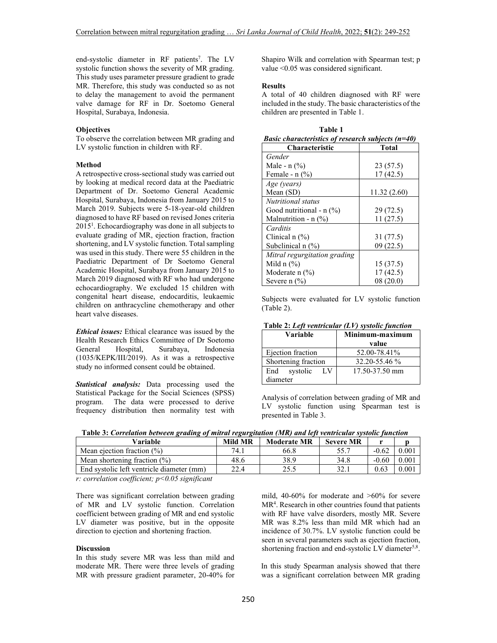end-systolic diameter in RF patients<sup>7</sup>. The LV systolic function shows the severity of MR grading. This study uses parameter pressure gradient to grade MR. Therefore, this study was conducted so as not to delay the management to avoid the permanent valve damage for RF in Dr. Soetomo General Hospital, Surabaya, Indonesia.

## **Objectives**

To observe the correlation between MR grading and LV systolic function in children with RF.

#### **Method**

A retrospective cross-sectional study was carried out by looking at medical record data at the Paediatric Department of Dr. Soetomo General Academic Hospital, Surabaya, Indonesia from January 2015 to March 2019. Subjects were 5-18-year-old children diagnosed to have RF based on revised Jones criteria 2015<sup>1</sup> . Echocardiography was done in all subjects to evaluate grading of MR, ejection fraction, fraction shortening, and LV systolic function. Total sampling was used in this study. There were 55 children in the Paediatric Department of Dr Soetomo General Academic Hospital, Surabaya from January 2015 to March 2019 diagnosed with RF who had undergone echocardiography. We excluded 15 children with congenital heart disease, endocarditis, leukaemic children on anthracycline chemotherapy and other heart valve diseases.

*Ethical issues:* Ethical clearance was issued by the Health Research Ethics Committee of Dr Soetomo General Hospital, Surabaya, Indonesia (1035/KEPK/III/2019). As it was a retrospective study no informed consent could be obtained.

*Statistical analysis:* Data processing used the Statistical Package for the Social Sciences (SPSS) program. The data were processed to derive frequency distribution then normality test with Shapiro Wilk and correlation with Spearman test; p value <0.05 was considered significant.

#### **Results**

A total of 40 children diagnosed with RF were included in the study. The basic characteristics of the children are presented in Table 1.

 **Table 1** 

| <i>Basic characteristics of research subjects (<math>n=40</math>)</i> |             |  |  |  |
|-----------------------------------------------------------------------|-------------|--|--|--|
| <b>Characteristic</b>                                                 | Total       |  |  |  |
| Gender                                                                |             |  |  |  |
| Male - $n$ (%)                                                        | 23 (57.5)   |  |  |  |
| Female - $n$ $(\%)$                                                   | 17(42.5)    |  |  |  |
| Age (years)                                                           |             |  |  |  |
| Mean $(SD)$                                                           | 11.32(2.60) |  |  |  |
| Nutritional status                                                    |             |  |  |  |
| Good nutritional - $n$ (%)                                            | 29 (72.5)   |  |  |  |
| Malnutrition - $n$ (%)                                                | 11(27.5)    |  |  |  |
| Carditis                                                              |             |  |  |  |
| Clinical $n$ (%)                                                      | 31 (77.5)   |  |  |  |
| Subclinical $n$ $\frac{1}{2}$                                         | 09(22.5)    |  |  |  |
| Mitral regurgitation grading                                          |             |  |  |  |
| Mild $n$ $(\%)$                                                       | 15 (37.5)   |  |  |  |
| Moderate $n$ (%)                                                      | 17(42.5)    |  |  |  |
| Severe n $(\% )$                                                      | 08(20.0)    |  |  |  |

Subjects were evaluated for LV systolic function (Table 2).

| Table 2: Left ventricular (LV) systolic function |  |  |
|--------------------------------------------------|--|--|
|                                                  |  |  |

| Variable                          | Minimum-maximum<br>value |  |  |
|-----------------------------------|--------------------------|--|--|
| Ejection fraction                 | 52.00-78.41%             |  |  |
| Shortening fraction               | 32.20-55.46 %            |  |  |
| LV<br>End<br>systolic<br>diameter | 17.50-37.50 mm           |  |  |

Analysis of correlation between grading of MR and LV systolic function using Spearman test is presented in Table 3.

 **Table 3:** *Correlation between grading of mitral regurgitation (MR) and left ventricular systolic function*

| Variable                                  | <b>Mild MR</b> | <b>Moderate MR</b> | <b>Severe MR</b> |         |       |
|-------------------------------------------|----------------|--------------------|------------------|---------|-------|
| Mean ejection fraction $(\%)$             | 74.1           | 66.8               | 55.7             | $-0.62$ | 0.001 |
| Mean shortening fraction $(\%)$           | 48.6           | 38.9               | 34.8             | $-0.60$ | 0.001 |
| End systolic left ventricle diameter (mm) | 22.4           | 25.5               | 32.1             | 0.63    | 0.001 |

*r: correlation coefficient; p<0.05 significant* 

There was significant correlation between grading of MR and LV systolic function. Correlation coefficient between grading of MR and end systolic LV diameter was positive, but in the opposite direction to ejection and shortening fraction.

# **Discussion**

In this study severe MR was less than mild and moderate MR. There were three levels of grading MR with pressure gradient parameter, 20-40% for mild, 40-60% for moderate and >60% for severe MR<sup>4</sup>. Research in other countries found that patients with RF have valve disorders, mostly MR. Severe MR was 8.2% less than mild MR which had an incidence of 30.7%. LV systolic function could be seen in several parameters such as ejection fraction, shortening fraction and end-systolic LV diameter<sup>5,8</sup>.

In this study Spearman analysis showed that there was a significant correlation between MR grading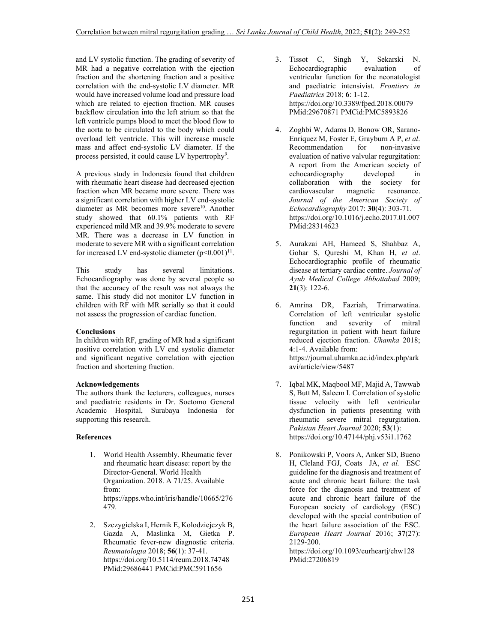and LV systolic function. The grading of severity of MR had a negative correlation with the ejection fraction and the shortening fraction and a positive correlation with the end-systolic LV diameter. MR would have increased volume load and pressure load which are related to ejection fraction. MR causes backflow circulation into the left atrium so that the left ventricle pumps blood to meet the blood flow to the aorta to be circulated to the body which could overload left ventricle. This will increase muscle mass and affect end-systolic LV diameter. If the process persisted, it could cause LV hypertrophy<sup>9</sup>.

A previous study in Indonesia found that children with rheumatic heart disease had decreased ejection fraction when MR became more severe. There was a significant correlation with higher LV end-systolic diameter as MR becomes more severe<sup>10</sup>. Another study showed that 60.1% patients with RF experienced mild MR and 39.9% moderate to severe MR. There was a decrease in LV function in moderate to severe MR with a significant correlation for increased LV end-systolic diameter  $(p<0.001)^{11}$ .

This study has several limitations. Echocardiography was done by several people so that the accuracy of the result was not always the same. This study did not monitor LV function in children with RF with MR serially so that it could not assess the progression of cardiac function.

# **Conclusions**

In children with RF, grading of MR had a significant positive correlation with LV end systolic diameter and significant negative correlation with ejection fraction and shortening fraction.

#### **Acknowledgements**

The authors thank the lecturers, colleagues, nurses and paediatric residents in Dr. Soetomo General Academic Hospital, Surabaya Indonesia for supporting this research.

#### **References**

- 1. World Health Assembly. Rheumatic fever and rheumatic heart disease: report by the Director-General. World Health Organization. 2018. A 71/25. Available from: https://apps.who.int/iris/handle/10665/276 479.
- 2. Szczygielska I, Hernik E, Kolodziejczyk B, Gazda A, Maslinka M, Gietka P. Rheumatic fever-new diagnostic criteria. *Reumatologia* 2018; **56**(1): 37-41. https://doi.org/10.5114/reum.2018.74748 PMid:29686441 PMCid:PMC5911656
- 3. Tissot C, Singh Y, Sekarski N. Echocardiographic evaluation of ventricular function for the neonatologist and paediatric intensivist. *Frontiers in Paediatrics* 2018; **6**: 1-12. https://doi.org/10.3389/fped.2018.00079 PMid:29670871 PMCid:PMC5893826
- 4. Zoghbi W, Adams D, Bonow OR, Sarano-Enriquez M, Foster E, Grayburn A P, *et al*. Recommendation for non-invasive evaluation of native valvular regurgitation: A report from the American society of echocardiography developed in collaboration with the society for cardiovascular magnetic resonance. *Journal of the American Society of Echocardiography* 2017: **30**(4): 303-71. https://doi.org/10.1016/j.echo.2017.01.007 PMid:28314623
- 5. Aurakzai AH, Hameed S, Shahbaz A, Gohar S, Qureshi M, Khan H, *et al*. Echocardiographic profile of rheumatic disease at tertiary cardiac centre. *Journal of Ayub Medical College Abbottabad* 2009; **21**(3): 122-6.
- 6. Amrina DR, Fazriah, Trimarwatina. Correlation of left ventricular systolic function and severity of mitral regurgitation in patient with heart failure reduced ejection fraction. *Uhamka* 2018; **4**:1-4. Available from: https://journal.uhamka.ac.id/index.php/ark avi/article/view/5487
- 7. Iqbal MK, Maqbool MF, Majid A, Tawwab S, Butt M, Saleem I. Correlation of systolic tissue velocity with left ventricular dysfunction in patients presenting with rheumatic severe mitral regurgitation. *Pakistan Heart Journal* 2020; **53**(1): https://doi.org/10.47144/phj.v53i1.1762
- 8. Ponikowski P, Voors A, Anker SD, Bueno H, Cleland FGJ, Coats JA, *et al.* ESC guideline for the diagnosis and treatment of acute and chronic heart failure: the task force for the diagnosis and treatment of acute and chronic heart failure of the European society of cardiology (ESC) developed with the special contribution of the heart failure association of the ESC. *European Heart Journal* 2016; **37**(27): 2129-200.

https://doi.org/10.1093/eurheartj/ehw128 PMid:27206819